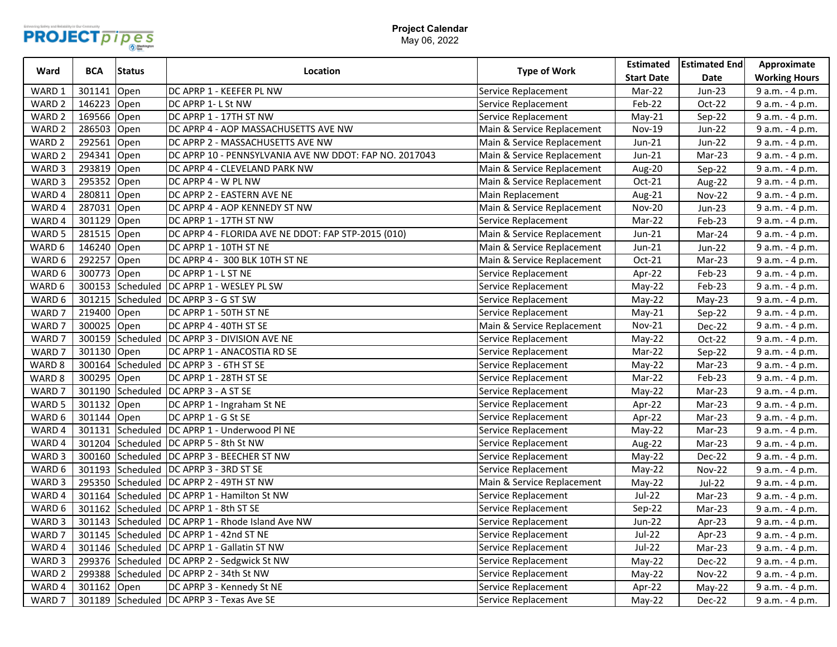

## **Project Calendar** May 06, 2022

| Ward              | <b>BCA</b>  | <b>Status</b>    | Location                                               | <b>Type of Work</b>        | <b>Estimated</b>  | <b>Estimated End</b> | Approximate          |
|-------------------|-------------|------------------|--------------------------------------------------------|----------------------------|-------------------|----------------------|----------------------|
|                   |             |                  |                                                        |                            | <b>Start Date</b> | Date                 | <b>Working Hours</b> |
| WARD 1            | 301141      | Open             | DC APRP 1 - KEEFER PL NW                               | Service Replacement        | Mar-22            | Jun-23               | 9 a.m. - 4 p.m.      |
| WARD <sub>2</sub> | 146223      | Open             | DC APRP 1-L St NW                                      | Service Replacement        | Feb-22            | Oct-22               | 9 a.m. - 4 p.m.      |
| WARD <sub>2</sub> | 169566      | Open             | DC APRP 1 - 17TH ST NW                                 | Service Replacement        | $May-21$          | Sep-22               | 9 a.m. - 4 p.m.      |
| WARD <sub>2</sub> | 286503      | Open             | DC APRP 4 - AOP MASSACHUSETTS AVE NW                   | Main & Service Replacement | <b>Nov-19</b>     | Jun-22               | 9 a.m. - 4 p.m.      |
| WARD <sub>2</sub> | 292561      | Open             | DC APRP 2 - MASSACHUSETTS AVE NW                       | Main & Service Replacement | Jun-21            | Jun-22               | 9 a.m. - 4 p.m.      |
| WARD <sub>2</sub> | 294341      | Open             | DC APRP 10 - PENNSYLVANIA AVE NW DDOT: FAP NO. 2017043 | Main & Service Replacement | $Jun-21$          | Mar-23               | 9 a.m. - 4 p.m.      |
| WARD 3            | 293819      | Open             | DC APRP 4 - CLEVELAND PARK NW                          | Main & Service Replacement | Aug-20            | Sep-22               | 9 a.m. - 4 p.m.      |
| WARD 3            | 295352      | Open             | DC APRP 4 - W PL NW                                    | Main & Service Replacement | Oct-21            | Aug-22               | 9 a.m. - 4 p.m.      |
| WARD 4            | 280811      | Open             | DC APRP 2 - EASTERN AVE NE                             | Main Replacement           | Aug-21            | <b>Nov-22</b>        | 9 a.m. - 4 p.m.      |
| WARD 4            | 287031      | Open             | DC APRP 4 - AOP KENNEDY ST NW                          | Main & Service Replacement | <b>Nov-20</b>     | Jun-23               | 9 a.m. - 4 p.m.      |
| WARD 4            | 301129      | Open             | DC APRP 1 - 17TH ST NW                                 | Service Replacement        | Mar-22            | Feb-23               | 9 a.m. - 4 p.m.      |
| WARD 5            | 281515      | Open             | DC APRP 4 - FLORIDA AVE NE DDOT: FAP STP-2015 (010)    | Main & Service Replacement | $Jun-21$          | Mar-24               | 9 a.m. - 4 p.m.      |
| WARD 6            | 146240      | Open             | DC APRP 1 - 10TH ST NE                                 | Main & Service Replacement | Jun-21            | Jun-22               | 9 a.m. - 4 p.m.      |
| WARD 6            | 292257      | Open             | DC APRP 4 - 300 BLK 10TH ST NE                         | Main & Service Replacement | Oct-21            | Mar-23               | 9 a.m. - 4 p.m.      |
| WARD 6            | 300773      | Open             | DC APRP 1 - L ST NE                                    | Service Replacement        | Apr-22            | Feb-23               | 9 a.m. - 4 p.m.      |
| WARD 6            |             | 300153 Scheduled | DC APRP 1 - WESLEY PL SW                               | Service Replacement        | May-22            | Feb-23               | 9 a.m. - 4 p.m.      |
| WARD 6            | 301215      |                  | Scheduled  DC APRP 3 - G ST SW                         | Service Replacement        | May-22            | $May-23$             | 9 a.m. - 4 p.m.      |
| WARD 7            | 219400      | Open             | DC APRP 1 - 50TH ST NE                                 | Service Replacement        | $May-21$          | Sep-22               | 9 a.m. - 4 p.m.      |
| WARD 7            | 300025      | Open             | DC APRP 4 - 40TH ST SE                                 | Main & Service Replacement | Nov-21            | Dec-22               | 9 a.m. - 4 p.m.      |
| WARD 7            | 300159      | Scheduled        | DC APRP 3 - DIVISION AVE NE                            | Service Replacement        | May-22            | Oct-22               | 9 a.m. - 4 p.m.      |
| WARD 7            | 301130 Open |                  | DC APRP 1 - ANACOSTIA RD SE                            | Service Replacement        | Mar-22            | Sep-22               | 9 a.m. - 4 p.m.      |
| WARD 8            | 300164      | Scheduled        | DC APRP 3 - 6TH ST SE                                  | Service Replacement        | May-22            | Mar-23               | 9 a.m. - 4 p.m.      |
| WARD 8            | 300295 Open |                  | DC APRP 1 - 28TH ST SE                                 | Service Replacement        | Mar-22            | Feb-23               | 9 a.m. - 4 p.m.      |
| WARD 7            | 301190      |                  | Scheduled   DC APRP 3 - A ST SE                        | Service Replacement        | May-22            | Mar-23               | 9 a.m. - 4 p.m.      |
| WARD 5            | 301132      | Open             | DC APRP 1 - Ingraham St NE                             | Service Replacement        | Apr-22            | Mar-23               | 9 a.m. - 4 p.m.      |
| WARD 6            | 301144 Open |                  | DC APRP 1 - G St SE                                    | Service Replacement        | Apr-22            | Mar-23               | 9 a.m. - 4 p.m.      |
| WARD 4            |             |                  | 301131 Scheduled DC APRP 1 - Underwood PI NE           | Service Replacement        | May-22            | Mar-23               | 9 a.m. - 4 p.m.      |
| WARD 4            |             |                  | 301204 Scheduled DC APRP 5 - 8th St NW                 | Service Replacement        | Aug-22            | Mar-23               | 9 a.m. - 4 p.m.      |
| WARD <sub>3</sub> | 300160      |                  | Scheduled   DC APRP 3 - BEECHER ST NW                  | Service Replacement        | May-22            | Dec-22               | 9 a.m. - 4 p.m.      |
| WARD 6            | 301193      | Scheduled        | DC APRP 3 - 3RD ST SE                                  | Service Replacement        | May-22            | Nov-22               | 9 a.m. - 4 p.m.      |
| WARD 3            |             |                  | 295350 Scheduled   DC APRP 2 - 49TH ST NW              | Main & Service Replacement | $May-22$          | <b>Jul-22</b>        | 9 a.m. - 4 p.m.      |
| WARD 4            |             |                  | 301164 Scheduled DC APRP 1 - Hamilton St NW            | Service Replacement        | $Jul-22$          | Mar-23               | 9 a.m. - 4 p.m.      |
| WARD 6            | 301162      |                  | Scheduled   DC APRP 1 - 8th ST SE                      | Service Replacement        | Sep-22            | Mar-23               | 9 a.m. - 4 p.m.      |
| WARD 3            |             |                  | 301143 Scheduled DC APRP 1 - Rhode Island Ave NW       | Service Replacement        | Jun-22            | Apr-23               | 9 a.m. - 4 p.m.      |
| WARD 7            |             |                  | 301145 Scheduled DC APRP 1 - 42nd ST NE                | Service Replacement        | <b>Jul-22</b>     | Apr-23               | 9 a.m. - 4 p.m.      |
| WARD 4            |             |                  | 301146 Scheduled DC APRP 1 - Gallatin ST NW            | Service Replacement        | <b>Jul-22</b>     | Mar-23               | 9 a.m. - 4 p.m.      |
| WARD 3            |             |                  | 299376 Scheduled DC APRP 2 - Sedgwick St NW            | Service Replacement        | May-22            | Dec-22               | 9 a.m. - 4 p.m.      |
| WARD <sub>2</sub> | 299388      |                  | Scheduled DC APRP 2 - 34th St NW                       | Service Replacement        | May-22            | <b>Nov-22</b>        | 9 a.m. - 4 p.m.      |
| WARD 4            | 301162      | Open             | DC APRP 3 - Kennedy St NE                              | Service Replacement        | Apr-22            | $May-22$             | 9 a.m. - 4 p.m.      |
| WARD 7            |             |                  | 301189 Scheduled DC APRP 3 - Texas Ave SE              | Service Replacement        | $May-22$          | Dec-22               | 9 a.m. - 4 p.m.      |